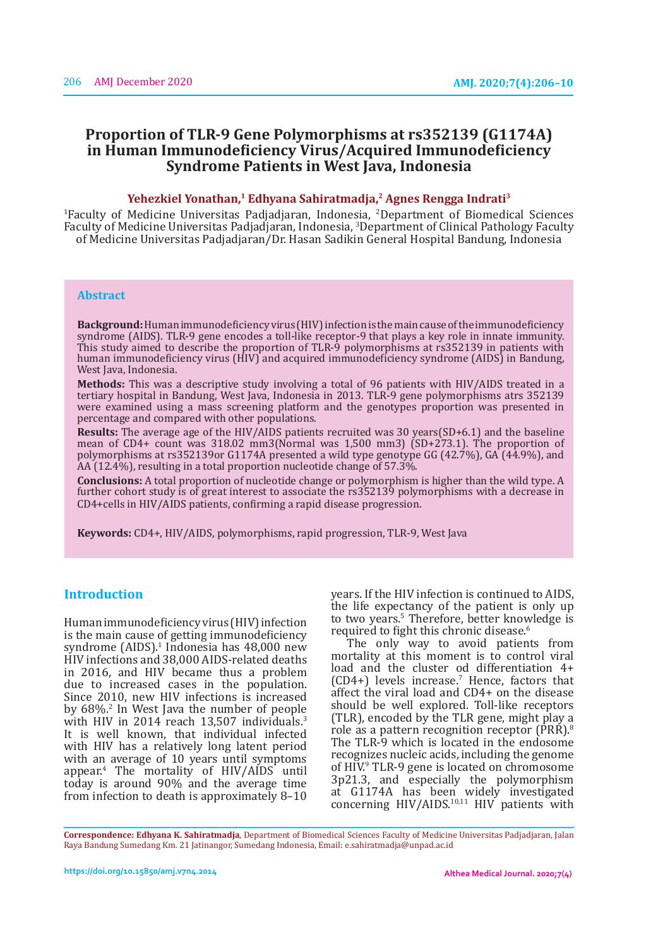# **Proportion of TLR-9 Gene Polymorphisms at rs352139 (G1174A) in Human Immunodeficiency Virus/Acquired Immunodeficiency Syndrome Patients in West Java, Indonesia**

#### **Yehezkiel Yonathan,1 Edhyana Sahiratmadja,2 Agnes Rengga Indrati3**

1 Faculty of Medicine Universitas Padjadjaran, Indonesia, <sup>2</sup> Department of Biomedical Sciences Faculty of Medicine Universitas Padjadjaran, Indonesia, 3 Department of Clinical Pathology Faculty of Medicine Universitas Padjadjaran/Dr. Hasan Sadikin General Hospital Bandung, Indonesia

## **Abstract**

**Background:** Human immunodeficiency virus (HIV) infection is the main cause of the immunodeficiency syndrome (AIDS). TLR-9 gene encodes a toll-like receptor-9 that plays a key role in innate immunity. This study aimed to describe the proportion of TLR-9 polymorphisms at rs352139 in patients with human immunodeficiency virus (HIV) and acquired immunodeficiency syndrome (AIDS) in Bandung, West Java, Indonesia.

**Methods:** This was a descriptive study involving a total of 96 patients with HIV/AIDS treated in a tertiary hospital in Bandung, West Java, Indonesia in 2013. TLR-9 gene polymorphisms atrs 352139 were examined using a mass screening platform and the genotypes proportion was presented in percentage and compared with other populations.

**Results:** The average age of the HIV/AIDS patients recruited was 30 years(SD+6.1) and the baseline mean of CD4+ count was 318.02 mm3(Normal was 1,500 mm3) (SD+273.1). The proportion of polymorphisms at rs352139or G1174A presented a wild type genotype GG (42.7%), GA (44.9%), and AA (12.4%), resulting in a total proportion nucleotide change of 57.3%.

**Conclusions:** A total proportion of nucleotide change or polymorphism is higher than the wild type. A further cohort study is of great interest to associate the rs352139 polymorphisms with a decrease in CD4+cells in HIV/AIDS patients, confirming a rapid disease progression.

**Keywords:** CD4+, HIV/AIDS, polymorphisms, rapid progression, TLR-9, West Java

# **Introduction**

Human immunodeficiency virus (HIV) infection is the main cause of getting immunodeficiency syndrome (AIDS).<sup>1</sup> Indonesia has 48,000 new HIV infections and 38,000 AIDS-related deaths in 2016, and HIV became thus a problem due to increased cases in the population. Since 2010, new HIV infections is increased by  $68\%$ <sup>2</sup> In West Java the number of people with HIV in 2014 reach 13,507 individuals.<sup>3</sup> It is well known, that individual infected with HIV has a relatively long latent period with an average of 10 years until symptoms appear.<sup>4</sup> The mortality of HIV/AIDS until today is around 90% and the average time from infection to death is approximately 8–10

years. If the HIV infection is continued to AIDS, the life expectancy of the patient is only up to two years.<sup>5</sup> Therefore, better knowledge is required to fight this chronic disease.<sup>6</sup>

The only way to avoid patients from mortality at this moment is to control viral load and the cluster od differentiation 4+  $(CD4+)$  levels increase. Hence, factors that affect the viral load and CD4+ on the disease should be well explored. Toll-like receptors (TLR), encoded by the TLR gene, might play a role as a pattern recognition receptor (PRR).<sup>8</sup> The TLR-9 which is located in the endosome recognizes nucleic acids, including the genome of HIV.<sup>9</sup> TLR-9 gene is located on chromosome 3p21.3, and especially the polymorphism at G1174A has been widely investigated concerning  $HIV/AIDS.^{10,11}$   $HIV$  patients with

**Correspondence: Edhyana K. Sahiratmadja**, Department of Biomedical Sciences Faculty of Medicine Universitas Padjadjaran, Jalan Raya Bandung Sumedang Km. 21 Jatinangor, Sumedang Indonesia, Email: e.sahiratmadja@unpad.ac.id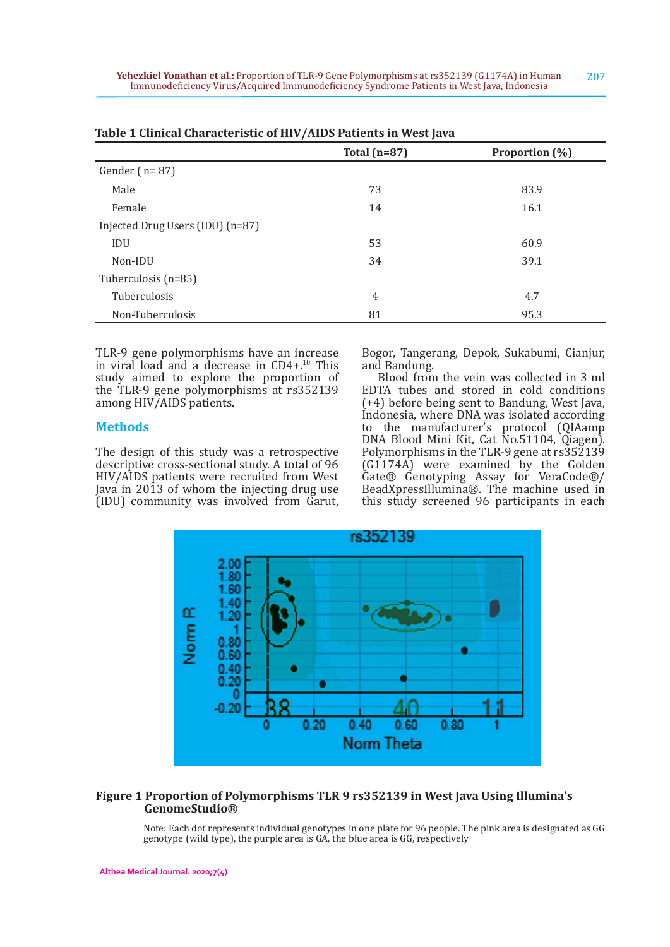|                                  | $\epsilon$     |                |  |
|----------------------------------|----------------|----------------|--|
|                                  | Total $(n=87)$ | Proportion (%) |  |
| Gender $(n=87)$                  |                |                |  |
| Male                             | 73             | 83.9           |  |
| Female                           | 14             | 16.1           |  |
| Injected Drug Users (IDU) (n=87) |                |                |  |
| <b>IDU</b>                       | 53             | 60.9           |  |
| Non-IDU                          | 34             | 39.1           |  |
| Tuberculosis (n=85)              |                |                |  |
| Tuberculosis                     | 4              | 4.7            |  |
| Non-Tuberculosis                 | 81             | 95.3           |  |

|  |  | Table 1 Clinical Characteristic of HIV/AIDS Patients in West Java |  |  |  |  |
|--|--|-------------------------------------------------------------------|--|--|--|--|
|--|--|-------------------------------------------------------------------|--|--|--|--|

TLR-9 gene polymorphisms have an increase in viral load and a decrease in CD4+.10 This study aimed to explore the proportion of the TLR-9 gene polymorphisms at rs352139 among HIV/AIDS patients.

## **Methods**

The design of this study was a retrospective descriptive cross-sectional study. A total of 96 HIV/AIDS patients were recruited from West Java in 2013 of whom the injecting drug use (IDU) community was involved from Garut,

Bogor, Tangerang, Depok, Sukabumi, Cianjur, and Bandung.

Blood from the vein was collected in 3 ml EDTA tubes and stored in cold conditions (+4) before being sent to Bandung, West Java, Indonesia, where DNA was isolated according to the manufacturer's protocol (QIAamp DNA Blood Mini Kit, Cat No.51104, Qiagen). Polymorphisms in the TLR-9 gene at rs352139 (G1174A) were examined by the Golden Gate® Genotyping Assay for VeraCode®/ BeadXpressIllumina®. The machine used in this study screened 96 participants in each



## **Figure 1 Proportion of Polymorphisms TLR 9 rs352139 in West Java Using Illumina's GenomeStudio®**

Note: Each dot represents individual genotypes in one plate for 96 people. The pink area is designated as GG genotype (wild type), the purple area is GA, the blue area is GG, respectively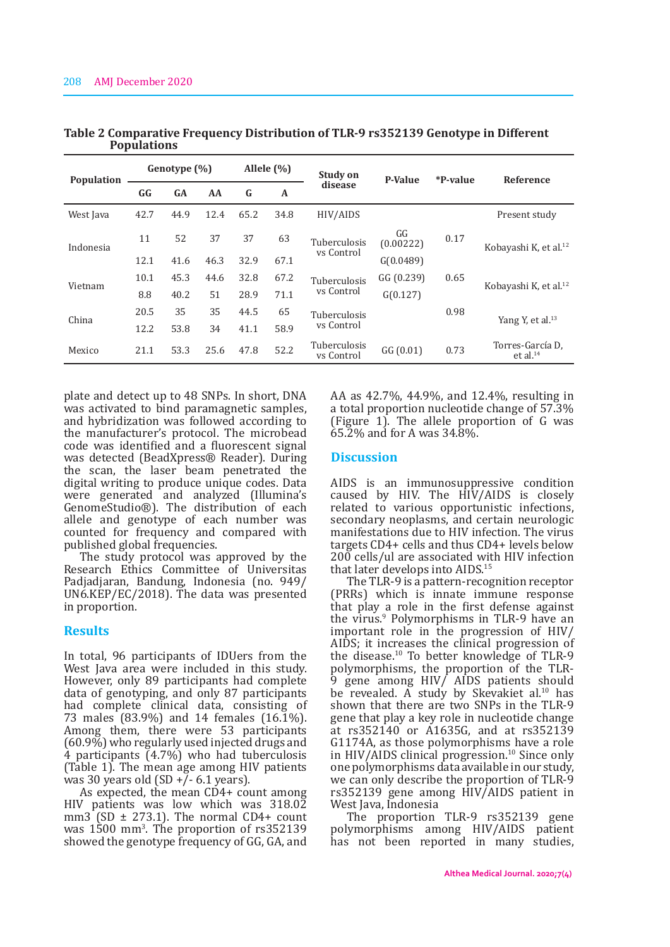| <b>Population</b> | Genotype (%) |           | Allele $(\% )$ |      | <b>Study on</b> | <b>P-Value</b>             | *P-value        | <b>Reference</b> |                                          |
|-------------------|--------------|-----------|----------------|------|-----------------|----------------------------|-----------------|------------------|------------------------------------------|
|                   | GG           | <b>GA</b> | AA             | G    | A               | disease                    |                 |                  |                                          |
| West Java         | 42.7         | 44.9      | 12.4           | 65.2 | 34.8            | HIV/AIDS                   |                 |                  | Present study                            |
| Indonesia         | 11           | 52        | 37             | 37   | 63              | Tuberculosis<br>vs Control | GG<br>(0.00222) | 0.17             | Kobayashi K, et al. <sup>12</sup>        |
|                   | 12.1         | 41.6      | 46.3           | 32.9 | 67.1            |                            | G(0.0489)       |                  |                                          |
| Vietnam           | 10.1         | 45.3      | 44.6           | 32.8 | 67.2            | Tuberculosis<br>vs Control | GG(0.239)       | 0.65             | Kobayashi K, et al. <sup>12</sup>        |
|                   | 8.8          | 40.2      | 51             | 28.9 | 71.1            |                            | G(0.127)        |                  |                                          |
| China             | 20.5         | 35        | 35             | 44.5 | 65              | Tuberculosis               |                 | 0.98             | Yang Y, et al. <sup>13</sup>             |
|                   | 12.2         | 53.8      | 34             | 41.1 | 58.9            | vs Control                 |                 |                  |                                          |
| Mexico            | 21.1         | 53.3      | 25.6           | 47.8 | 52.2            | Tuberculosis<br>vs Control | GG(0.01)        | 0.73             | Torres-García D.<br>et al. <sup>14</sup> |

**Table 2 Comparative Frequency Distribution of TLR-9 rs352139 Genotype in Different Populations**

plate and detect up to 48 SNPs. In short, DNA was activated to bind paramagnetic samples, and hybridization was followed according to the manufacturer's protocol. The microbead code was identified and a fluorescent signal was detected (BeadXpress® Reader). During the scan, the laser beam penetrated the digital writing to produce unique codes. Data were generated and analyzed (Illumina's GenomeStudio®). The distribution of each allele and genotype of each number was counted for frequency and compared with published global frequencies.

The study protocol was approved by the Research Ethics Committee of Universitas Padjadjaran, Bandung, Indonesia (no. 949/ UN6.KEP/EC/2018). The data was presented in proportion.

### **Results**

In total, 96 participants of IDUers from the West Java area were included in this study. However, only 89 participants had complete data of genotyping, and only 87 participants had complete clinical data, consisting of 73 males (83.9%) and 14 females (16.1%). Among them, there were 53 participants (60.9%) who regularly used injected drugs and 4 participants (4.7%) who had tuberculosis (Table 1). The mean age among HIV patients was 30 years old  $(SD + 7 - 6.1$  years).

As expected, the mean CD4+ count among HIV patients was low which was 318.02 mm3 (SD  $\pm$  273.1). The normal CD4+ count was 1500 mm<sup>3</sup> . The proportion of rs352139 showed the genotype frequency of GG, GA, and

AA as 42.7%, 44.9%, and 12.4%, resulting in a total proportion nucleotide change of 57.3% (Figure 1). The allele proportion of G was 65.2% and for A was 34.8%.

### **Discussion**

AIDS is an immunosuppressive condition caused by HIV. The HIV/AIDS is closely related to various opportunistic infections, secondary neoplasms, and certain neurologic manifestations due to HIV infection. The virus targets CD4+ cells and thus CD4+ levels below 200 cells/ul are associated with HIV infection that later develops into AIDS.<sup>15</sup>

The TLR-9 is a pattern-recognition receptor (PRRs) which is innate immune response that play a role in the first defense against the virus.<sup>9</sup> Polymorphisms in TLR-9 have an important role in the progression of HIV/ AIDS; it increases the clinical progression of the disease.10 To better knowledge of TLR-9 polymorphisms, the proportion of the TLR-9 gene among HIV/ AIDS patients should be revealed. A study by Skevakiet al.<sup>10</sup> has shown that there are two SNPs in the TLR-9 gene that play a key role in nucleotide change at rs352140 or A1635G, and at rs352139 G1174A, as those polymorphisms have a role in HIV/AIDS clinical progression.10 Since only one polymorphisms data available in our study, we can only describe the proportion of TLR-9 rs352139 gene among HIV/AIDS patient in West Java, Indonesia

The proportion TLR-9 rs352139 gene polymorphisms among HIV/AIDS patient has not been reported in many studies,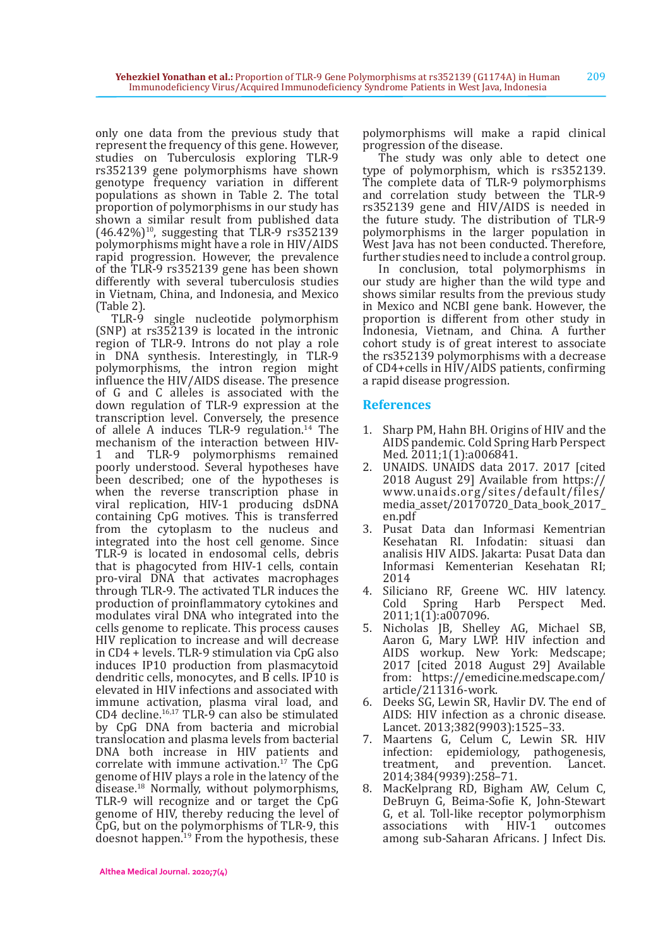only one data from the previous study that represent the frequency of this gene. However, studies on Tuberculosis exploring TLR-9 rs352139 gene polymorphisms have shown genotype frequency variation in different populations as shown in Table 2. The total proportion of polymorphisms in our study has shown a similar result from published data  $(46.42\%)^{10}$ , suggesting that TLR-9 rs352139 polymorphisms might have a role in HIV/AIDS rapid progression. However, the prevalence of the TLR-9 rs352139 gene has been shown differently with several tuberculosis studies in Vietnam, China, and Indonesia, and Mexico (Table 2).

TLR-9 single nucleotide polymorphism (SNP) at rs352139 is located in the intronic region of TLR-9. Introns do not play a role in DNA synthesis. Interestingly, in TLR-9 polymorphisms, the intron region might influence the HIV/AIDS disease. The presence of G and C alleles is associated with the down regulation of TLR-9 expression at the transcription level. Conversely, the presence of allele A induces TLR-9 regulation.<sup>14</sup> The mechanism of the interaction between HIV-<br>1 and TLR-9 polymorphisms remained and TLR-9 polymorphisms remained poorly understood. Several hypotheses have been described; one of the hypotheses is when the reverse transcription phase in viral replication, HIV-1 producing dsDNA containing CpG motives. This is transferred from the cytoplasm to the nucleus and integrated into the host cell genome. Since TLR-9 is located in endosomal cells, debris that is phagocyted from HIV-1 cells, contain pro-viral DNA that activates macrophages through TLR-9. The activated TLR induces the production of proinflammatory cytokines and modulates viral DNA who integrated into the cells genome to replicate. This process causes HIV replication to increase and will decrease in CD4 + levels. TLR-9 stimulation via CpG also induces IP10 production from plasmacytoid dendritic cells, monocytes, and B cells. IP10 is elevated in HIV infections and associated with immune activation, plasma viral load, and CD4 decline.16,17 TLR-9 can also be stimulated by CpG DNA from bacteria and microbial translocation and plasma levels from bacterial DNA both increase in HIV patients and correlate with immune activation.<sup>17</sup> The CpG genome of HIV plays a role in the latency of the disease.18 Normally, without polymorphisms, TLR-9 will recognize and or target the CpG genome of HIV, thereby reducing the level of CpG, but on the polymorphisms of TLR-9, this doesnot happen.<sup>19</sup> From the hypothesis, these

The study was only able to detect one type of polymorphism, which is rs352139. The complete data of TLR-9 polymorphisms and correlation study between the TLR-9 rs352139 gene and HIV/AIDS is needed in the future study. The distribution of TLR-9 polymorphisms in the larger population in West Java has not been conducted. Therefore, further studies need to include a control group.

In conclusion, total polymorphisms in our study are higher than the wild type and shows similar results from the previous study in Mexico and NCBI gene bank. However, the proportion is different from other study in Indonesia, Vietnam, and China. A further cohort study is of great interest to associate the rs352139 polymorphisms with a decrease of CD4+cells in HIV/AIDS patients, confirming a rapid disease progression.

# **References**

- 1. Sharp PM, Hahn BH. Origins of HIV and the AIDS pandemic. Cold Spring Harb Perspect Med. 2011;1(1):a006841.
- 2. UNAIDS. UNAIDS data 2017. 2017 [cited 2018 August 29] Available from https:// www.unaids.org/sites/default/files/ media\_asset/20170720\_Data\_book\_2017\_ en.pdf
- 3. Pusat Data dan Informasi Kementrian Kesehatan RI. Infodatin: situasi dan analisis HIV AIDS. Jakarta: Pusat Data dan Informasi Kementerian Kesehatan RI; 2014
- 4. Siliciano RF, Greene WC. HIV latency.<br>Cold Spring Harb Perspect Med. Perspect Med. 2011;1(1):a007096.
- 5. Nicholas JB, Shelley AG, Michael SB, Aaron G, Mary LWP. HIV infection and AIDS workup. New York: Medscape; 2017 [cited 2018 August 29] Available from: https://emedicine.medscape.com/ article/211316-work.
- 6. Deeks SG, Lewin SR, Havlir DV. The end of AIDS: HIV infection as a chronic disease. Lancet. 2013;382(9903):1525–33.
- 7. Maartens G, Celum C, Lewin SR. HIV infection: epidemiology, pathogenesis,<br>treatment, and prevention. Lancet. prevention. Lancet. 2014;384(9939):258–71.
- MacKelprang RD, Bigham AW, Celum C, DeBruyn G, Beima-Sofie K, John-Stewart G, et al. Toll-like receptor polymorphism associations with HIV-1 outcomes among sub-Saharan Africans. J Infect Dis.